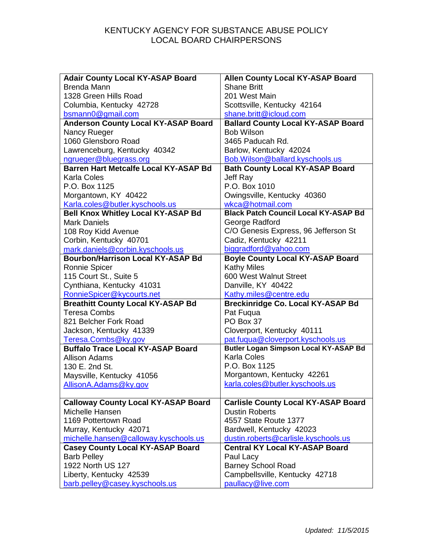| <b>Adair County Local KY-ASAP Board</b>      | <b>Allen County Local KY-ASAP Board</b>      |
|----------------------------------------------|----------------------------------------------|
| <b>Brenda Mann</b>                           | <b>Shane Britt</b>                           |
| 1328 Green Hills Road                        | 201 West Main                                |
| Columbia, Kentucky 42728                     | Scottsville, Kentucky 42164                  |
| bsmann0@gmail.com                            | shane.britt@icloud.com                       |
| <b>Anderson County Local KY-ASAP Board</b>   | <b>Ballard County Local KY-ASAP Board</b>    |
| Nancy Rueger                                 | <b>Bob Wilson</b>                            |
| 1060 Glensboro Road                          | 3465 Paducah Rd.                             |
| Lawrenceburg, Kentucky 40342                 | Barlow, Kentucky 42024                       |
| ngrueger@bluegrass.org                       | Bob.Wilson@ballard.kyschools.us              |
| <b>Barren Hart Metcalfe Local KY-ASAP Bd</b> | <b>Bath County Local KY-ASAP Board</b>       |
| <b>Karla Coles</b>                           | Jeff Ray                                     |
| P.O. Box 1125                                | P.O. Box 1010                                |
| Morgantown, KY 40422                         | Owingsville, Kentucky 40360                  |
| Karla.coles@butler.kyschools.us              | wkca@hotmail.com                             |
| <b>Bell Knox Whitley Local KY-ASAP Bd</b>    | <b>Black Patch Council Local KY-ASAP Bd</b>  |
| <b>Mark Daniels</b>                          | George Radford                               |
| 108 Roy Kidd Avenue                          | C/O Genesis Express, 96 Jefferson St         |
| Corbin, Kentucky 40701                       | Cadiz, Kentucky 42211                        |
| mark.daniels@corbin.kyschools.us             | biggradford@yahoo.com                        |
| <b>Bourbon/Harrison Local KY-ASAP Bd</b>     | <b>Boyle County Local KY-ASAP Board</b>      |
| Ronnie Spicer                                | <b>Kathy Miles</b>                           |
| 115 Court St., Suite 5                       | 600 West Walnut Street                       |
| Cynthiana, Kentucky 41031                    | Danville, KY 40422                           |
| RonnieSpicer@kycourts.net                    | Kathy.miles@centre.edu                       |
| <b>Breathitt County Local KY-ASAP Bd</b>     | <b>Breckinridge Co. Local KY-ASAP Bd</b>     |
| <b>Teresa Combs</b>                          | Pat Fuqua                                    |
| 821 Belcher Fork Road                        | PO Box 37                                    |
| Jackson, Kentucky 41339                      | Cloverport, Kentucky 40111                   |
| Teresa.Combs@ky.gov                          | pat.fuqua@cloverport.kyschools.us            |
| <b>Buffalo Trace Local KY-ASAP Board</b>     | <b>Butler Logan Simpson Local KY-ASAP Bd</b> |
| <b>Allison Adams</b>                         | <b>Karla Coles</b>                           |
| 130 E. 2nd St.                               | P.O. Box 1125                                |
| Maysville, Kentucky 41056                    | Morgantown, Kentucky 42261                   |
| AllisonA.Adams@ky.gov                        | karla.coles@butler.kyschools.us              |
|                                              |                                              |
| <b>Calloway County Local KY-ASAP Board</b>   | <b>Carlisle County Local KY-ASAP Board</b>   |
| Michelle Hansen                              | <b>Dustin Roberts</b>                        |
| 1169 Pottertown Road                         | 4557 State Route 1377                        |
| Murray, Kentucky 42071                       | Bardwell, Kentucky 42023                     |
| michelle.hansen@calloway.kyschools.us        | dustin.roberts@carlisle.kyschools.us         |
| <b>Casey County Local KY-ASAP Board</b>      | <b>Central KY Local KY-ASAP Board</b>        |
| <b>Barb Pelley</b>                           | Paul Lacy                                    |
| 1922 North US 127                            | <b>Barney School Road</b>                    |
| Liberty, Kentucky 42539                      | Campbellsville, Kentucky 42718               |
| barb.pelley@casey.kyschools.us               | paullacy@live.com                            |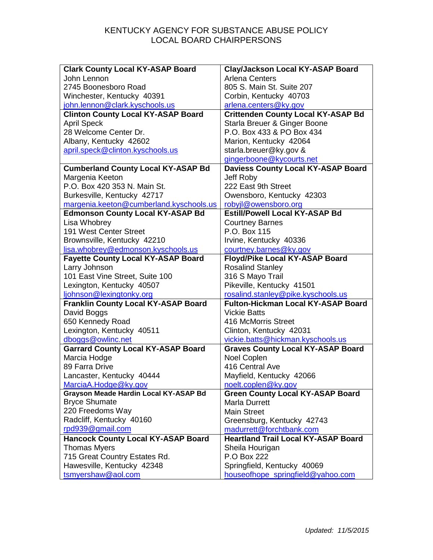| <b>Clark County Local KY-ASAP Board</b>      | Clay/Jackson Local KY-ASAP Board           |
|----------------------------------------------|--------------------------------------------|
| John Lennon                                  | <b>Arlena Centers</b>                      |
| 2745 Boonesboro Road                         | 805 S. Main St. Suite 207                  |
| Winchester, Kentucky 40391                   | Corbin, Kentucky 40703                     |
| john.lennon@clark.kyschools.us               | arlena.centers@ky.gov                      |
| <b>Clinton County Local KY-ASAP Board</b>    | <b>Crittenden County Local KY-ASAP Bd</b>  |
| <b>April Speck</b>                           | Starla Breuer & Ginger Boone               |
| 28 Welcome Center Dr.                        | P.O. Box 433 & PO Box 434                  |
| Albany, Kentucky 42602                       | Marion, Kentucky 42064                     |
| april.speck@clinton.kyschools.us             | starla.breuer@ky.gov &                     |
|                                              | gingerboone@kycourts.net                   |
| <b>Cumberland County Local KY-ASAP Bd</b>    | <b>Daviess County Local KY-ASAP Board</b>  |
| Margenia Keeton                              | Jeff Roby                                  |
| P.O. Box 420 353 N. Main St.                 | 222 East 9th Street                        |
| Burkesville, Kentucky 42717                  | Owensboro, Kentucky 42303                  |
| margenia.keeton@cumberland.kyschools.us      | robyjl@owensboro.org                       |
| <b>Edmonson County Local KY-ASAP Bd</b>      | <b>Estill/Powell Local KY-ASAP Bd</b>      |
| Lisa Whobrey                                 | <b>Courtney Barnes</b>                     |
| 191 West Center Street                       | P.O. Box 115                               |
| Brownsville, Kentucky 42210                  | Irvine, Kentucky 40336                     |
| lisa.whobrey@edmonson.kyschools.us           | courtney.barnes@ky.gov                     |
| <b>Fayette County Local KY-ASAP Board</b>    | Floyd/Pike Local KY-ASAP Board             |
| Larry Johnson                                | <b>Rosalind Stanley</b>                    |
| 101 East Vine Street, Suite 100              | 316 S Mayo Trail                           |
| Lexington, Kentucky 40507                    | Pikeville, Kentucky 41501                  |
| ljohnson@lexingtonky.org                     | rosalind.stanley@pike.kyschools.us         |
| <b>Franklin County Local KY-ASAP Board</b>   | <b>Fulton-Hickman Local KY-ASAP Board</b>  |
| David Boggs                                  | <b>Vickie Batts</b>                        |
| 650 Kennedy Road                             | 416 McMorris Street                        |
| Lexington, Kentucky 40511                    | Clinton, Kentucky 42031                    |
| dboggs@owlinc.net                            | vickie.batts@hickman.kyschools.us          |
| <b>Garrard County Local KY-ASAP Board</b>    | <b>Graves County Local KY-ASAP Board</b>   |
| Marcia Hodge                                 | Noel Coplen                                |
| 89 Farra Drive                               | 416 Central Ave                            |
| Lancaster, Kentucky 40444                    | Mayfield, Kentucky 42066                   |
| MarciaA.Hodge@ky.gov                         | noelt.coplen@ky.gov                        |
| <b>Grayson Meade Hardin Local KY-ASAP Bd</b> | <b>Green County Local KY-ASAP Board</b>    |
| <b>Bryce Shumate</b>                         | <b>Marla Durrett</b>                       |
| 220 Freedoms Way                             | <b>Main Street</b>                         |
| Radcliff, Kentucky 40160                     | Greensburg, Kentucky 42743                 |
| rpd939@gmail.com                             | madurrett@forchtbank.com                   |
| <b>Hancock County Local KY-ASAP Board</b>    | <b>Heartland Trail Local KY-ASAP Board</b> |
| <b>Thomas Myers</b>                          | Sheila Hourigan                            |
| 715 Great Country Estates Rd.                | P.O Box 222                                |
| Hawesville, Kentucky 42348                   | Springfield, Kentucky 40069                |
| tsmyershaw@aol.com                           | houseofhope_springfield@yahoo.com          |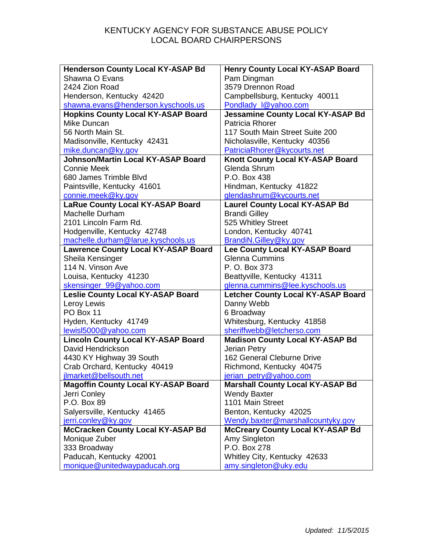| <b>Henderson County Local KY-ASAP Bd</b>   | <b>Henry County Local KY-ASAP Board</b> |
|--------------------------------------------|-----------------------------------------|
| Shawna O Evans                             | Pam Dingman                             |
| 2424 Zion Road                             | 3579 Drennon Road                       |
| Henderson, Kentucky 42420                  | Campbellsburg, Kentucky 40011           |
| shawna.evans@henderson.kyschools.us        | Pondlady_I@yahoo.com                    |
| <b>Hopkins County Local KY-ASAP Board</b>  | Jessamine County Local KY-ASAP Bd       |
| Mike Duncan                                | Patricia Rhorer                         |
| 56 North Main St.                          | 117 South Main Street Suite 200         |
| Madisonville, Kentucky 42431               | Nicholasville, Kentucky 40356           |
| mike.duncan@ky.gov                         | PatriciaRhorer@kycourts.net             |
| <b>Johnson/Martin Local KY-ASAP Board</b>  | Knott County Local KY-ASAP Board        |
| <b>Connie Meek</b>                         | Glenda Shrum                            |
| 680 James Trimble Blyd                     | P.O. Box 438                            |
| Paintsville, Kentucky 41601                | Hindman, Kentucky 41822                 |
| connie.meek@ky.gov                         | glendashrum@kycourts.net                |
| <b>LaRue County Local KY-ASAP Board</b>    | <b>Laurel County Local KY-ASAP Bd</b>   |
| Machelle Durham                            | <b>Brandi Gilley</b>                    |
| 2101 Lincoln Farm Rd.                      | 525 Whitley Street                      |
| Hodgenville, Kentucky 42748                | London, Kentucky 40741                  |
| machelle.durham@larue.kyschools.us         | BrandiN.Gilley@ky.gov                   |
| <b>Lawrence County Local KY-ASAP Board</b> | Lee County Local KY-ASAP Board          |
| Sheila Kensinger                           | <b>Glenna Cummins</b>                   |
| 114 N. Vinson Ave                          | P. O. Box 373                           |
| Louisa, Kentucky 41230                     | Beattyville, Kentucky 41311             |
| skensinger_99@yahoo.com                    | glenna.cummins@lee.kyschools.us         |
| <b>Leslie County Local KY-ASAP Board</b>   | Letcher County Local KY-ASAP Board      |
| Leroy Lewis                                | Danny Webb                              |
| PO Box 11                                  | 6 Broadway                              |
| Hyden, Kentucky 41749                      | Whitesburg, Kentucky 41858              |
| lewisl5000@yahoo.com                       | sheriffwebb@letcherso.com               |
| <b>Lincoln County Local KY-ASAP Board</b>  | <b>Madison County Local KY-ASAP Bd</b>  |
| David Hendrickson                          | Jerian Petry                            |
| 4430 KY Highway 39 South                   | 162 General Cleburne Drive              |
| Crab Orchard, Kentucky 40419               | Richmond, Kentucky 40475                |
| jlmarket@bellsouth.net                     | jerian petry@yahoo.com                  |
| <b>Magoffin County Local KY-ASAP Board</b> | <b>Marshall County Local KY-ASAP Bd</b> |
| Jerri Conley                               | <b>Wendy Baxter</b>                     |
| P.O. Box 89                                | 1101 Main Street                        |
| Salyersville, Kentucky 41465               | Benton, Kentucky 42025                  |
| jerri.conley@ky.gov                        | Wendy.baxter@marshallcountyky.gov       |
| <b>McCracken County Local KY-ASAP Bd</b>   | <b>McCreary County Local KY-ASAP Bd</b> |
| Monique Zuber                              | Amy Singleton                           |
| 333 Broadway                               | P.O. Box 278                            |
| Paducah, Kentucky 42001                    | Whitley City, Kentucky 42633            |
| monique@unitedwaypaducah.org               | amy.singleton@uky.edu                   |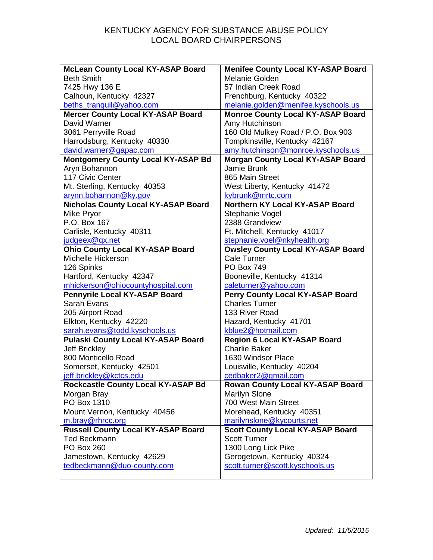| <b>McLean County Local KY-ASAP Board</b>                      | <b>Menifee County Local KY-ASAP Board</b>                            |
|---------------------------------------------------------------|----------------------------------------------------------------------|
| <b>Beth Smith</b>                                             | Melanie Golden                                                       |
| 7425 Hwy 136 E                                                | 57 Indian Creek Road                                                 |
| Calhoun, Kentucky 42327                                       | Frenchburg, Kentucky 40322                                           |
| beths_tranquil@yahoo.com                                      | melanie.golden@menifee.kyschools.us                                  |
| <b>Mercer County Local KY-ASAP Board</b>                      | <b>Monroe County Local KY-ASAP Board</b>                             |
| David Warner                                                  | Amy Hutchinson                                                       |
| 3061 Perryville Road                                          | 160 Old Mulkey Road / P.O. Box 903                                   |
| Harrodsburg, Kentucky 40330                                   | Tompkinsville, Kentucky 42167                                        |
| david.warner@gapac.com                                        | amy.hutchinson@monroe.kyschools.us                                   |
| <b>Montgomery County Local KY-ASAP Bd</b>                     | <b>Morgan County Local KY-ASAP Board</b>                             |
| Aryn Bohannon                                                 | Jamie Brunk                                                          |
| 117 Civic Center                                              | 865 Main Street                                                      |
| Mt. Sterling, Kentucky 40353                                  | West Liberty, Kentucky 41472                                         |
| arynn.bohannon@ky.gov                                         | kybrunk@mrtc.com                                                     |
| <b>Nicholas County Local KY-ASAP Board</b>                    | <b>Northern KY Local KY-ASAP Board</b>                               |
| Mike Pryor                                                    | Stephanie Vogel                                                      |
| P.O. Box 167                                                  | 2388 Grandview                                                       |
| Carlisle, Kentucky 40311                                      | Ft. Mitchell, Kentucky 41017                                         |
| judgeex@qx.net                                                | stephanie.voel@nkyhealth.org                                         |
| <b>Ohio County Local KY-ASAP Board</b>                        | <b>Owsley County Local KY-ASAP Board</b>                             |
| Michelle Hickerson                                            | <b>Cale Turner</b>                                                   |
| 126 Spinks                                                    | <b>PO Box 749</b>                                                    |
| Hartford, Kentucky 42347                                      | Booneville, Kentucky 41314                                           |
| mhickerson@ohiocountyhospital.com                             | caleturner@yahoo.com                                                 |
| Pennyrile Local KY-ASAP Board                                 | Perry County Local KY-ASAP Board                                     |
| <b>Sarah Evans</b>                                            | <b>Charles Turner</b>                                                |
| 205 Airport Road                                              | 133 River Road                                                       |
| Elkton, Kentucky 42220                                        | Hazard, Kentucky 41701                                               |
| sarah.evans@todd.kyschools.us                                 | kblue2@hotmail.com                                                   |
| <b>Pulaski County Local KY-ASAP Board</b>                     | <b>Region 6 Local KY-ASAP Board</b>                                  |
| <b>Jeff Brickley</b>                                          | <b>Charlie Baker</b>                                                 |
| 800 Monticello Road                                           | 1630 Windsor Place                                                   |
| Somerset, Kentucky 42501                                      | Louisville, Kentucky 40204                                           |
| jeff.brickley@kctcs.edu                                       | cedbaker2@gmail.com                                                  |
| Rockcastle County Local KY-ASAP Bd                            | <b>Rowan County Local KY-ASAP Board</b><br>Marilyn Slone             |
| Morgan Bray<br>PO Box 1310                                    | 700 West Main Street                                                 |
|                                                               | Morehead, Kentucky 40351                                             |
| Mount Vernon, Kentucky 40456                                  |                                                                      |
| m.bray@rhrcc.org<br><b>Russell County Local KY-ASAP Board</b> | marilynslone@kycourts.net<br><b>Scott County Local KY-ASAP Board</b> |
| <b>Ted Beckmann</b>                                           | <b>Scott Turner</b>                                                  |
| <b>PO Box 260</b>                                             |                                                                      |
|                                                               | 1300 Long Lick Pike                                                  |
| Jamestown, Kentucky 42629<br>tedbeckmann@duo-county.com       | Gerogetown, Kentucky 40324<br>scott.turner@scott.kyschools.us        |
|                                                               |                                                                      |